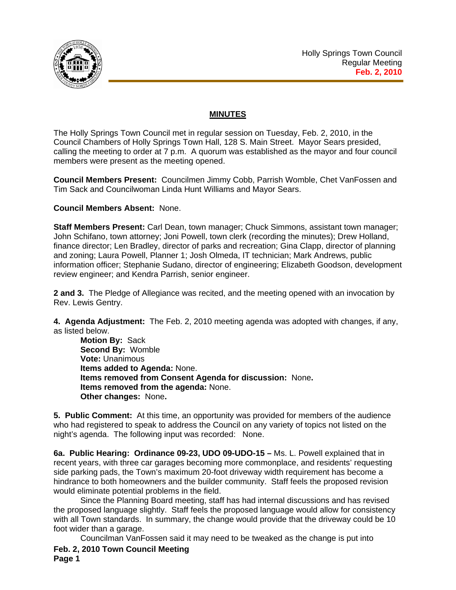

## **MINUTES**

The Holly Springs Town Council met in regular session on Tuesday, Feb. 2, 2010, in the Council Chambers of Holly Springs Town Hall, 128 S. Main Street. Mayor Sears presided, calling the meeting to order at 7 p.m. A quorum was established as the mayor and four council members were present as the meeting opened.

**Council Members Present:** Councilmen Jimmy Cobb, Parrish Womble, Chet VanFossen and Tim Sack and Councilwoman Linda Hunt Williams and Mayor Sears.

## **Council Members Absent:** None.

**Staff Members Present:** Carl Dean, town manager; Chuck Simmons, assistant town manager; John Schifano, town attorney; Joni Powell, town clerk (recording the minutes); Drew Holland, finance director; Len Bradley, director of parks and recreation; Gina Clapp, director of planning and zoning; Laura Powell, Planner 1; Josh Olmeda, IT technician; Mark Andrews, public information officer; Stephanie Sudano, director of engineering; Elizabeth Goodson, development review engineer; and Kendra Parrish, senior engineer.

**2 and 3.** The Pledge of Allegiance was recited, and the meeting opened with an invocation by Rev. Lewis Gentry.

**4. Agenda Adjustment:** The Feb. 2, 2010 meeting agenda was adopted with changes, if any, as listed below.

**Motion By:** Sack **Second By:** Womble **Vote:** Unanimous **Items added to Agenda:** None. **Items removed from Consent Agenda for discussion:** None**. Items removed from the agenda:** None. **Other changes:** None**.** 

**5. Public Comment:** At this time, an opportunity was provided for members of the audience who had registered to speak to address the Council on any variety of topics not listed on the night's agenda. The following input was recorded: None.

**6a. Public Hearing: Ordinance 09-23, UDO 09-UDO-15 –** Ms. L. Powell explained that in recent years, with three car garages becoming more commonplace, and residents' requesting side parking pads, the Town's maximum 20-foot driveway width requirement has become a hindrance to both homeowners and the builder community. Staff feels the proposed revision would eliminate potential problems in the field.

 Since the Planning Board meeting, staff has had internal discussions and has revised the proposed language slightly. Staff feels the proposed language would allow for consistency with all Town standards. In summary, the change would provide that the driveway could be 10 foot wider than a garage.

**Feb. 2, 2010 Town Council Meeting Page 1**  Councilman VanFossen said it may need to be tweaked as the change is put into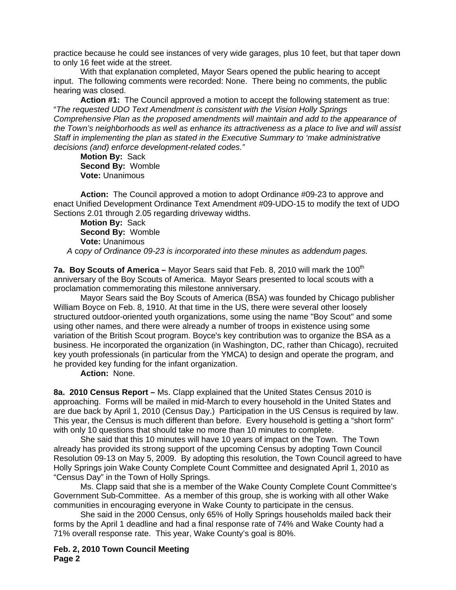practice because he could see instances of very wide garages, plus 10 feet, but that taper down to only 16 feet wide at the street.

With that explanation completed, Mayor Sears opened the public hearing to accept input. The following comments were recorded: None. There being no comments, the public hearing was closed.

**Action #1:** The Council approved a motion to accept the following statement as true: "*The requested UDO Text Amendment is consistent with the Vision Holly Springs Comprehensive Plan as the proposed amendments will maintain and add to the appearance of the Town's neighborhoods as well as enhance its attractiveness as a place to live and will assist Staff in implementing the plan as stated in the Executive Summary to 'make administrative decisions (and) enforce development-related codes."* 

**Motion By:** Sack **Second By:** Womble **Vote:** Unanimous

**Action:** The Council approved a motion to adopt Ordinance #09-23 to approve and enact Unified Development Ordinance Text Amendment #09-UDO-15 to modify the text of UDO Sections 2.01 through 2.05 regarding driveway widths.

**Motion By:** Sack **Second By:** Womble **Vote:** Unanimous

*A* c*opy of Ordinance 09-23 is incorporated into these minutes as addendum pages.*

7a. Boy Scouts of America – Mayor Sears said that Feb. 8, 2010 will mark the 100<sup>th</sup> anniversary of the Boy Scouts of America. Mayor Sears presented to local scouts with a proclamation commemorating this milestone anniversary.

 Mayor Sears said the Boy Scouts of America (BSA) was founded by Chicago publisher William Boyce on Feb. 8, 1910. At that time in the US, there were several other loosely structured outdoor-oriented youth organizations, some using the name "Boy Scout" and some using other names, and there were already a number of troops in existence using some variation of the British Scout program. Boyce's key contribution was to organize the BSA as a business. He incorporated the organization (in Washington, DC, rather than Chicago), recruited key youth professionals (in particular from the YMCA) to design and operate the program, and he provided key funding for the infant organization.

**Action:** None.

**8a. 2010 Census Report –** Ms. Clapp explained that the United States Census 2010 is approaching. Forms will be mailed in mid-March to every household in the United States and are due back by April 1, 2010 (Census Day.) Participation in the US Census is required by law. This year, the Census is much different than before. Every household is getting a "short form" with only 10 questions that should take no more than 10 minutes to complete.

 She said that this 10 minutes will have 10 years of impact on the Town. The Town already has provided its strong support of the upcoming Census by adopting Town Council Resolution 09-13 on May 5, 2009. By adopting this resolution, the Town Council agreed to have Holly Springs join Wake County Complete Count Committee and designated April 1, 2010 as "Census Day" in the Town of Holly Springs.

 Ms. Clapp said that she is a member of the Wake County Complete Count Committee's Government Sub-Committee. As a member of this group, she is working with all other Wake communities in encouraging everyone in Wake County to participate in the census.

 She said in the 2000 Census, only 65% of Holly Springs households mailed back their forms by the April 1 deadline and had a final response rate of 74% and Wake County had a 71% overall response rate. This year, Wake County's goal is 80%.

**Feb. 2, 2010 Town Council Meeting Page 2**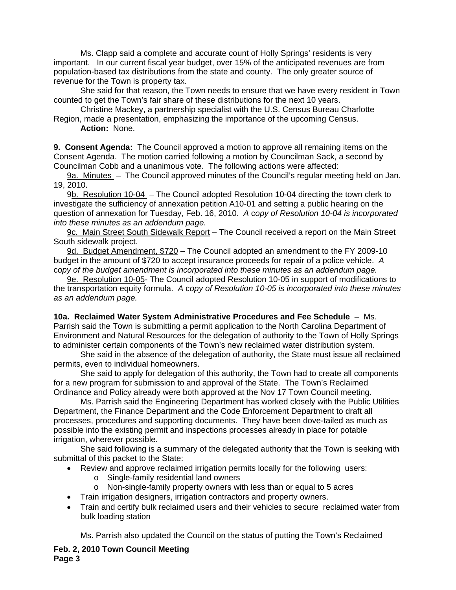Ms. Clapp said a complete and accurate count of Holly Springs' residents is very important. In our current fiscal year budget, over 15% of the anticipated revenues are from population-based tax distributions from the state and county. The only greater source of revenue for the Town is property tax.

 She said for that reason, the Town needs to ensure that we have every resident in Town counted to get the Town's fair share of these distributions for the next 10 years.

 Christine Mackey, a partnership specialist with the U.S. Census Bureau Charlotte Region, made a presentation, emphasizing the importance of the upcoming Census.

 **Action:** None.

**9. Consent Agenda:** The Council approved a motion to approve all remaining items on the Consent Agenda. The motion carried following a motion by Councilman Sack, a second by Councilman Cobb and a unanimous vote. The following actions were affected:

9a. Minutes – The Council approved minutes of the Council's regular meeting held on Jan. 19, 2010.

9b. Resolution 10-04 – The Council adopted Resolution 10-04 directing the town clerk to investigate the sufficiency of annexation petition A10-01 and setting a public hearing on the question of annexation for Tuesday, Feb. 16, 2010. *A* c*opy of Resolution 10-04 is incorporated into these minutes as an addendum page.*

9c. Main Street South Sidewalk Report - The Council received a report on the Main Street South sidewalk project.

9d. Budget Amendment, \$720 – The Council adopted an amendment to the FY 2009-10 budget in the amount of \$720 to accept insurance proceeds for repair of a police vehicle. *A*  c*opy of the budget amendment is incorporated into these minutes as an addendum page.*

9e. Resolution 10-05- The Council adopted Resolution 10-05 in support of modifications to the transportation equity formula. *A* c*opy of Resolution 10-05 is incorporated into these minutes as an addendum page.*

**10a. Reclaimed Water System Administrative Procedures and Fee Schedule** – Ms. Parrish said the Town is submitting a permit application to the North Carolina Department of Environment and Natural Resources for the delegation of authority to the Town of Holly Springs to administer certain components of the Town's new reclaimed water distribution system.

 She said in the absence of the delegation of authority, the State must issue all reclaimed permits, even to individual homeowners.

 She said to apply for delegation of this authority, the Town had to create all components for a new program for submission to and approval of the State. The Town's Reclaimed Ordinance and Policy already were both approved at the Nov 17 Town Council meeting.

 Ms. Parrish said the Engineering Department has worked closely with the Public Utilities Department, the Finance Department and the Code Enforcement Department to draft all processes, procedures and supporting documents. They have been dove-tailed as much as possible into the existing permit and inspections processes already in place for potable irrigation, wherever possible.

 She said following is a summary of the delegated authority that the Town is seeking with submittal of this packet to the State:

- Review and approve reclaimed irrigation permits locally for the following users:
	- o Single-family residential land owners
	- o Non-single-family property owners with less than or equal to 5 acres
- Train irrigation designers, irrigation contractors and property owners.
- Train and certify bulk reclaimed users and their vehicles to secure reclaimed water from bulk loading station

Ms. Parrish also updated the Council on the status of putting the Town's Reclaimed

**Feb. 2, 2010 Town Council Meeting Page 3**